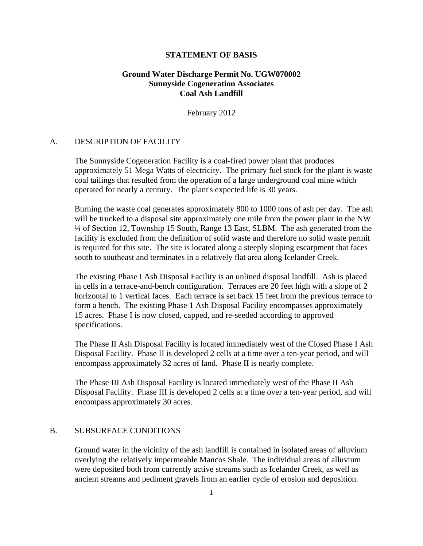#### **STATEMENT OF BASIS**

# **Ground Water Discharge Permit No. UGW070002 Sunnyside Cogeneration Associates Coal Ash Landfill**

February 2012

### A. DESCRIPTION OF FACILITY

The Sunnyside Cogeneration Facility is a coal-fired power plant that produces approximately 51 Mega Watts of electricity. The primary fuel stock for the plant is waste coal tailings that resulted from the operation of a large underground coal mine which operated for nearly a century. The plant's expected life is 30 years.

Burning the waste coal generates approximately 800 to 1000 tons of ash per day. The ash will be trucked to a disposal site approximately one mile from the power plant in the NW ¼ of Section 12, Township 15 South, Range 13 East, SLBM. The ash generated from the facility is excluded from the definition of solid waste and therefore no solid waste permit is required for this site. The site is located along a steeply sloping escarpment that faces south to southeast and terminates in a relatively flat area along Icelander Creek.

The existing Phase I Ash Disposal Facility is an unlined disposal landfill. Ash is placed in cells in a terrace-and-bench configuration. Terraces are 20 feet high with a slope of 2 horizontal to 1 vertical faces. Each terrace is set back 15 feet from the previous terrace to form a bench. The existing Phase 1 Ash Disposal Facility encompasses approximately 15 acres. Phase I is now closed, capped, and re-seeded according to approved specifications.

The Phase II Ash Disposal Facility is located immediately west of the Closed Phase I Ash Disposal Facility. Phase II is developed 2 cells at a time over a ten-year period, and will encompass approximately 32 acres of land. Phase II is nearly complete.

The Phase III Ash Disposal Facility is located immediately west of the Phase II Ash Disposal Facility. Phase III is developed 2 cells at a time over a ten-year period, and will encompass approximately 30 acres.

### B. SUBSURFACE CONDITIONS

Ground water in the vicinity of the ash landfill is contained in isolated areas of alluvium overlying the relatively impermeable Mancos Shale. The individual areas of alluvium were deposited both from currently active streams such as Icelander Creek, as well as ancient streams and pediment gravels from an earlier cycle of erosion and deposition.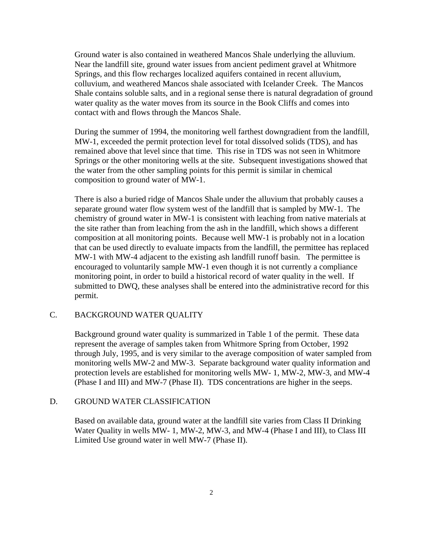Ground water is also contained in weathered Mancos Shale underlying the alluvium. Near the landfill site, ground water issues from ancient pediment gravel at Whitmore Springs, and this flow recharges localized aquifers contained in recent alluvium, colluvium, and weathered Mancos shale associated with Icelander Creek. The Mancos Shale contains soluble salts, and in a regional sense there is natural degradation of ground water quality as the water moves from its source in the Book Cliffs and comes into contact with and flows through the Mancos Shale.

During the summer of 1994, the monitoring well farthest downgradient from the landfill, MW-1, exceeded the permit protection level for total dissolved solids (TDS), and has remained above that level since that time. This rise in TDS was not seen in Whitmore Springs or the other monitoring wells at the site. Subsequent investigations showed that the water from the other sampling points for this permit is similar in chemical composition to ground water of MW-1.

There is also a buried ridge of Mancos Shale under the alluvium that probably causes a separate ground water flow system west of the landfill that is sampled by MW-1. The chemistry of ground water in MW-1 is consistent with leaching from native materials at the site rather than from leaching from the ash in the landfill, which shows a different composition at all monitoring points. Because well MW-1 is probably not in a location that can be used directly to evaluate impacts from the landfill, the permittee has replaced MW-1 with MW-4 adjacent to the existing ash landfill runoff basin. The permittee is encouraged to voluntarily sample MW-1 even though it is not currently a compliance monitoring point, in order to build a historical record of water quality in the well. If submitted to DWQ, these analyses shall be entered into the administrative record for this permit.

# C. BACKGROUND WATER QUALITY

Background ground water quality is summarized in Table 1 of the permit. These data represent the average of samples taken from Whitmore Spring from October, 1992 through July, 1995, and is very similar to the average composition of water sampled from monitoring wells MW-2 and MW-3. Separate background water quality information and protection levels are established for monitoring wells MW- 1, MW-2, MW-3, and MW-4 (Phase I and III) and MW-7 (Phase II). TDS concentrations are higher in the seeps.

#### D. GROUND WATER CLASSIFICATION

Based on available data, ground water at the landfill site varies from Class II Drinking Water Quality in wells MW- 1, MW-2, MW-3, and MW-4 (Phase I and III), to Class III Limited Use ground water in well MW-7 (Phase II).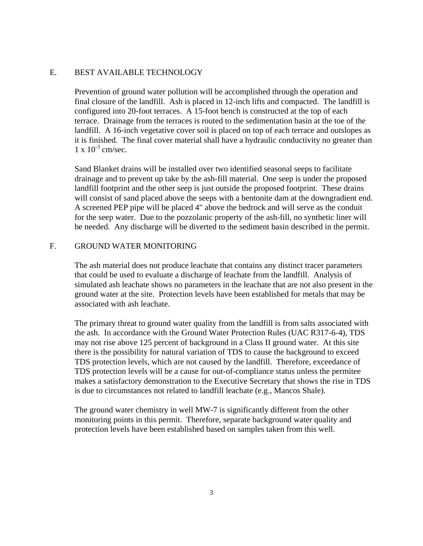# E. BEST AVAILABLE TECHNOLOGY

Prevention of ground water pollution will be accomplished through the operation and final closure of the landfill. Ash is placed in 12-inch lifts and compacted. The landfill is configured into 20-foot terraces. A 15-foot bench is constructed at the top of each terrace. Drainage from the terraces is routed to the sedimentation basin at the toe of the landfill. A 16-inch vegetative cover soil is placed on top of each terrace and outslopes as it is finished. The final cover material shall have a hydraulic conductivity no greater than  $1 \times 10^{-3}$  cm/sec.

Sand Blanket drains will be installed over two identified seasonal seeps to facilitate drainage and to prevent up take by the ash-fill material. One seep is under the proposed landfill footprint and the other seep is just outside the proposed footprint. These drains will consist of sand placed above the seeps with a bentonite dam at the downgradient end. A screened PEP pipe will be placed 4" above the bedrock and will serve as the conduit for the seep water. Due to the pozzolanic property of the ash-fill, no synthetic liner will be needed. Any discharge will be diverted to the sediment basin described in the permit.

## F. GROUND WATER MONITORING

The ash material does not produce leachate that contains any distinct tracer parameters that could be used to evaluate a discharge of leachate from the landfill. Analysis of simulated ash leachate shows no parameters in the leachate that are not also present in the ground water at the site. Protection levels have been established for metals that may be associated with ash leachate.

The primary threat to ground water quality from the landfill is from salts associated with the ash. In accordance with the Ground Water Protection Rules (UAC R317-6-4), TDS may not rise above 125 percent of background in a Class II ground water. At this site there is the possibility for natural variation of TDS to cause the background to exceed TDS protection levels, which are not caused by the landfill. Therefore, exceedance of TDS protection levels will be a cause for out-of-compliance status unless the permitee makes a satisfactory demonstration to the Executive Secretary that shows the rise in TDS is due to circumstances not related to landfill leachate (e.g., Mancos Shale).

The ground water chemistry in well MW-7 is significantly different from the other monitoring points in this permit. Therefore, separate background water quality and protection levels have been established based on samples taken from this well.